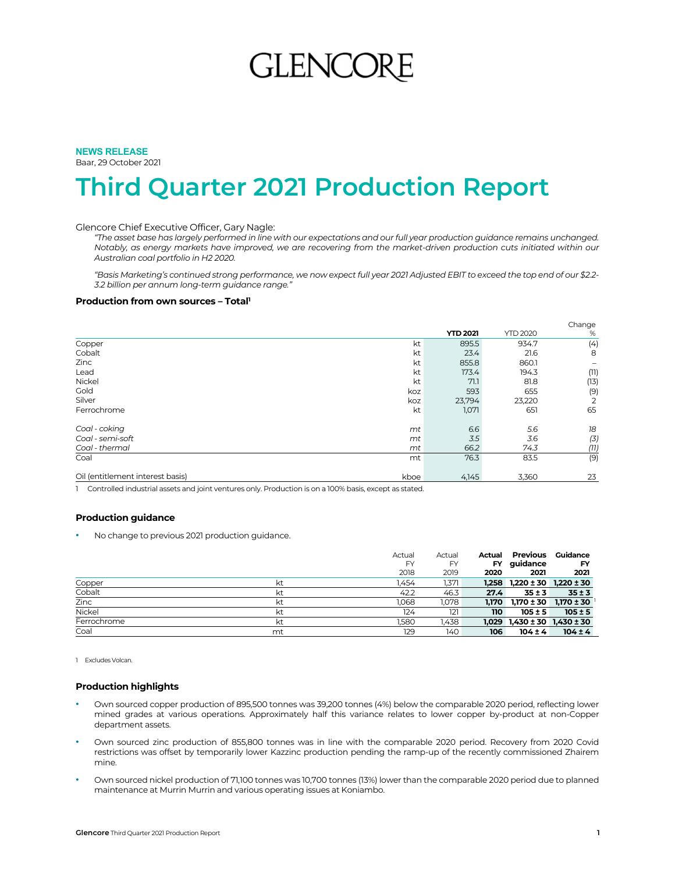# GLENCO

# **NEWS RELEASE**

Baar, 29 October 2021

# **Third Quarter 2021 Production Report**

### Glencore Chief Executive Officer, Gary Nagle:

*"The asset base has largely performed in line with our expectations and our full year production guidance remains unchanged. Notably, as energy markets have improved, we are recovering from the market-driven production cuts initiated within our Australian coal portfolio in H2 2020.* 

*"Basis Marketing's continued strong performance, we now expect full year 2021 Adjusted EBIT to exceed the top end of our \$2.2- 3.2 billion per annum long-term guidance range."* 

### **Production from own sources - Total'**

|                                  |      |                 |                 | Change                   |
|----------------------------------|------|-----------------|-----------------|--------------------------|
|                                  |      | <b>YTD 2021</b> | <b>YTD 2020</b> | %                        |
| Copper                           | kt   | 895.5           | 934.7           | (4)                      |
| Cobalt                           | kt   | 23.4            | 21.6            | 8                        |
| Zinc                             | kt   | 855.8           | 860.1           | $\overline{\phantom{0}}$ |
| Lead                             | kt   | 173.4           | 194.3           | (11)                     |
| Nickel                           | kt   | 71.1            | 81.8            | (13)                     |
| Gold                             | koz  | 593             | 655             | (9)                      |
| Silver                           | koz  | 23,794          | 23,220          | 2                        |
| Ferrochrome                      | kt   | 1,071           | 651             | 65                       |
| Coal - coking                    | mt   | 6.6             | 5.6             | 18                       |
| Coal - semi-soft                 | mt   | 3.5             | 3.6             | (3)                      |
| Coal - thermal                   | mt   | 66.2            | 74.3            | (11)                     |
| Coal                             | mt   | 76.3            | 83.5            | (9)                      |
| Oil (entitlement interest basis) | kboe | 4,145           | 3,360           | 23                       |

1 Controlled industrial assets and joint ventures only. Production is on a 100% basis, except as stated.

### **Production guidance**

• No change to previous 2021 production guidance.

|             |    | Actual    | Actual    | Actual    | Previous                              | Guidance                      |
|-------------|----|-----------|-----------|-----------|---------------------------------------|-------------------------------|
|             |    | <b>FY</b> | <b>FY</b> | <b>FY</b> | guidance                              | FY                            |
|             |    | 2018      | 2019      | 2020      | 2021                                  | 2021                          |
| Copper      | kt | 1.454     | 1,371     |           | $1,258$ $1,220 \pm 30$ $1,220 \pm 30$ |                               |
| Cobalt      | kt | 42.2      | 46.3      | 27.4      | $35 \pm 3$                            | $35 \pm 3$                    |
| Zinc        | kt | 1.068     | 1,078     | 1.170     |                                       | $1,170 \pm 30$ $1,170 \pm 30$ |
| Nickel      | kt | 124       | 121       | 110       | $105 \pm 5$                           | $105 \pm 5$                   |
| Ferrochrome | kt | 1.580     | 1.438     |           | $1,029$ $1,430 \pm 30$ $1,430 \pm 30$ |                               |
| Coal        | mt | 129       | 140       | 106       | $104 \pm 4$                           | $104 \pm 4$                   |

1 Excludes Volcan.

### **Production highlights**

- Own sourced copper production of 895,500 tonnes was 39,200 tonnes (4%) below the comparable 2020 period, reflecting lower mined grades at various operations. Approximately half this variance relates to lower copper by-product at non-Copper department assets.
- Own sourced zinc production of 855,800 tonnes was in line with the comparable 2020 period. Recovery from 2020 Covid restrictions was offset by temporarily lower Kazzinc production pending the ramp-up of the recently commissioned Zhairem mine.
- Own sourced nickel production of 71,100 tonnes was 10,700 tonnes (13%) lower than the comparable 2020 period due to planned maintenance at Murrin Murrin and various operating issues at Koniambo.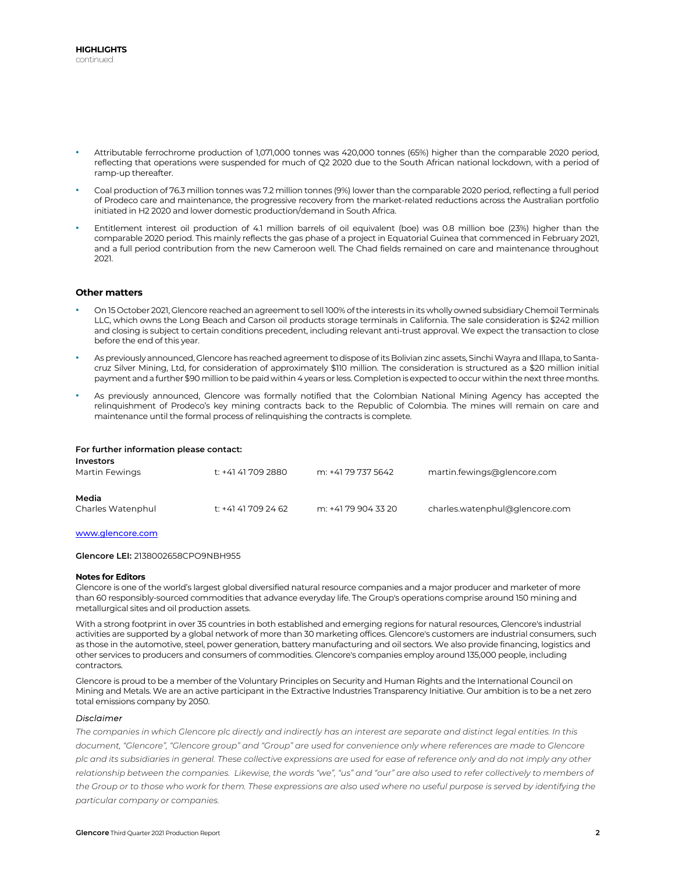- Attributable ferrochrome production of 1,071,000 tonnes was 420,000 tonnes (65%) higher than the comparable 2020 period, reflecting that operations were suspended for much of Q2 2020 due to the South African national lockdown, with a period of ramp-up thereafter.
- Coal production of 76.3 million tonnes was 7.2 million tonnes (9%) lower than the comparable 2020 period, reflecting a full period of Prodeco care and maintenance, the progressive recovery from the market-related reductions across the Australian portfolio initiated in H2 2020 and lower domestic production/demand in South Africa.
- Entitlement interest oil production of 4.1 million barrels of oil equivalent (boe) was 0.8 million boe (23%) higher than the comparable 2020 period. This mainly reflects the gas phase of a project in Equatorial Guinea that commenced in February 2021, and a full period contribution from the new Cameroon well. The Chad fields remained on care and maintenance throughout 2021.

### **Other matters**

- On 15 October 2021, Glencore reached an agreement to sell 100% of the interests in its wholly owned subsidiary Chemoil Terminals LLC, which owns the Long Beach and Carson oil products storage terminals in California. The sale consideration is \$242 million and closing is subject to certain conditions precedent, including relevant anti-trust approval. We expect the transaction to close before the end of this year.
- As previously announced, Glencore has reached agreement to dispose of its Bolivian zinc assets, Sinchi Wayra and Illapa, to Santacruz Silver Mining, Ltd, for consideration of approximately \$110 million. The consideration is structured as a \$20 million initial payment and a further \$90 million to be paid within 4 years or less. Completion is expected to occur within the next three months.
- As previously announced, Glencore was formally notified that the Colombian National Mining Agency has accepted the relinquishment of Prodeco's key mining contracts back to the Republic of Colombia. The mines will remain on care and maintenance until the formal process of relinquishing the contracts is complete.

### **For further information please contact:**

| <b>Investors</b><br>Martin Fewings | t: +41 41 709 2880  | m: +41 79 737 5642  | martin.fewings@glencore.com    |
|------------------------------------|---------------------|---------------------|--------------------------------|
| Media<br>Charles Watenphul         | t: +41 41 709 24 62 | m: +41 79 904 33 20 | charles.watenphul@glencore.com |

### www.glencore.com

**Glencore LEI:** 2138002658CPO9NBH955

### **Notes for Editors**

Glencore is one of the world's largest global diversified natural resource companies and a major producer and marketer of more than 60 responsibly-sourced commodities that advance everyday life. The Group's operations comprise around 150 mining and metallurgical sites and oil production assets.

With a strong footprint in over 35 countries in both established and emerging regions for natural resources, Glencore's industrial activities are supported by a global network of more than 30 marketing offices. Glencore's customers are industrial consumers, such as those in the automotive, steel, power generation, battery manufacturing and oil sectors. We also provide financing, logistics and other services to producers and consumers of commodities. Glencore's companies employ around 135,000 people, including contractors.

Glencore is proud to be a member of the Voluntary Principles on Security and Human Rights and the International Council on Mining and Metals. We are an active participant in the Extractive Industries Transparency Initiative. Our ambition is to be a net zero total emissions company by 2050.

### *Disclaimer*

*The companies in which Glencore plc directly and indirectly has an interest are separate and distinct legal entities. In this document, "Glencore", "Glencore group" and "Group" are used for convenience only where references are made to Glencore plc and its subsidiaries in general. These collective expressions are used for ease of reference only and do not imply any other relationship between the companies. Likewise, the words "we", "us" and "our" are also used to refer collectively to members of the Group or to those who work for them. These expressions are also used where no useful purpose is served by identifying the particular company or companies.*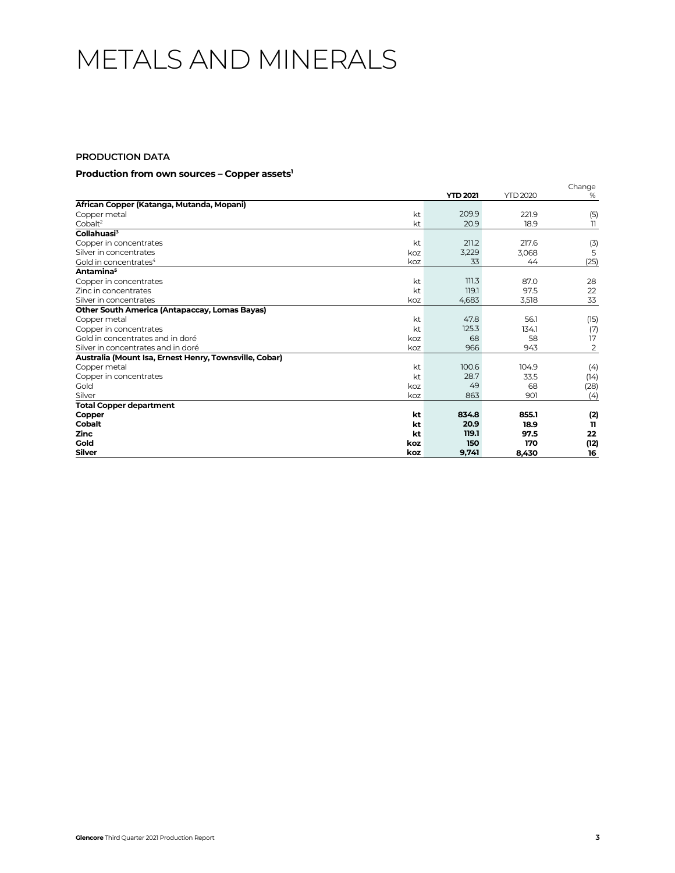# METALS AND MINERALS

# **PRODUCTION DATA**

### **Production from own sources – Copper assets1**

|                                                        |          |                 |                 | Change         |
|--------------------------------------------------------|----------|-----------------|-----------------|----------------|
|                                                        |          | <b>YTD 2021</b> | <b>YTD 2020</b> | %              |
| African Copper (Katanga, Mutanda, Mopani)              |          |                 |                 |                |
| Copper metal                                           | kt<br>kt | 209.9           | 221.9           | (5)            |
| Cobalt <sup>2</sup>                                    |          | 20.9            | 18.9            | 11             |
| Collahuasi <sup>3</sup>                                |          |                 |                 |                |
| Copper in concentrates                                 | kt       | 211.2           | 217.6           | (3)            |
| Silver in concentrates                                 | koz      | 3,229           | 3,068           | 5              |
| Gold in concentrates <sup>4</sup>                      | koz      | 33              | 44              | (25)           |
| Antamina <sup>5</sup>                                  |          |                 |                 |                |
| Copper in concentrates                                 | kt       | 111.3           | 87.0            | 28             |
| Zinc in concentrates                                   | kt       | 119.1           | 97.5            | 22             |
| Silver in concentrates                                 | koz      | 4,683           | 3,518           | 33             |
| Other South America (Antapaccay, Lomas Bayas)          |          |                 |                 |                |
| Copper metal                                           | kt       | 47.8            | 56.1            | (15)           |
| Copper in concentrates                                 | kt       | 125.3           | 134.1           | (7)            |
| Gold in concentrates and in doré                       | koz      | 68              | 58              | 17             |
| Silver in concentrates and in doré                     | koz      | 966             | 943             | $\overline{2}$ |
| Australia (Mount Isa, Ernest Henry, Townsville, Cobar) |          |                 |                 |                |
| Copper metal                                           | kt       | 100.6           | 104.9           | (4)            |
| Copper in concentrates                                 | kt       | 28.7            | 33.5            | (14)           |
| Gold                                                   | koz      | 49              | 68              | (28)           |
| Silver                                                 | koz      | 863             | 901             | (4)            |
| <b>Total Copper department</b>                         |          |                 |                 |                |
| Copper                                                 | kt       | 834.8           | 855.1           | (2)            |
| Cobalt                                                 | kt       | 20.9            | 18.9            | 11             |
| <b>Zinc</b>                                            | kt       | 119.1           | 97.5            | 22             |
| Gold                                                   | koz      | 150             | 170             | (12)           |
| Silver                                                 | koz      | 9,741           | 8,430           | 16             |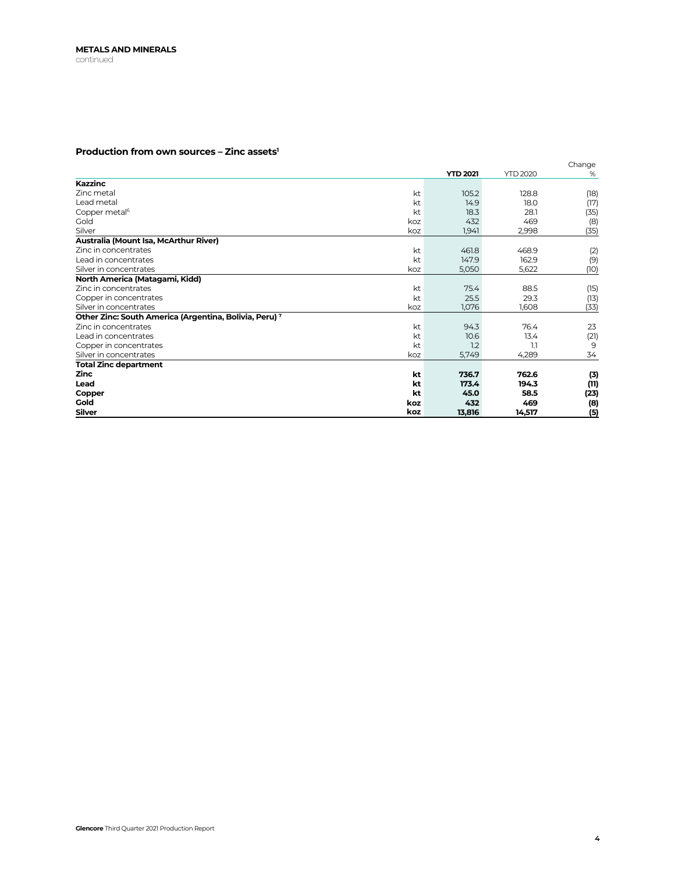# **Production from own sources – Zinc assets1**

|                                                                   | <b>YTD 2021</b> | <b>YTD 2020</b> | Change<br>$\%$ |
|-------------------------------------------------------------------|-----------------|-----------------|----------------|
| <b>Kazzinc</b>                                                    |                 |                 |                |
| Zinc metal<br>kt                                                  | 105.2           | 128.8           | (18)           |
| kt<br>Lead metal                                                  | 14.9            | 18.0            | (17)           |
| Copper metal <sup>6</sup><br>kt                                   | 18.3            | 28.1            | (35)           |
| Gold<br>koz                                                       | 432             | 469             | (8)            |
| Silver<br>koz                                                     | 1,941           | 2,998           | (35)           |
| Australia (Mount Isa, McArthur River)                             |                 |                 |                |
| Zinc in concentrates<br>kt                                        | 461.8           | 468.9           | (2)            |
| Lead in concentrates<br>kt                                        | 147.9           | 162.9           | (9)            |
| Silver in concentrates<br>koz                                     | 5,050           | 5,622           | (10)           |
| North America (Matagami, Kidd)                                    |                 |                 |                |
| Zinc in concentrates<br>kt                                        | 75.4            | 88.5            | (15)           |
| Copper in concentrates<br>kt                                      | 25.5            | 29.3            | (13)           |
| Silver in concentrates<br>koz                                     | 1,076           | 1,608           | (33)           |
| Other Zinc: South America (Argentina, Bolivia, Peru) <sup>7</sup> |                 |                 |                |
| Zinc in concentrates<br>kt                                        | 94.3            | 76.4            | 23             |
| Lead in concentrates<br>kt                                        | 10.6            | 13.4            | (21)           |
| kt<br>Copper in concentrates                                      | 1.2             | 1.1             | 9              |
| Silver in concentrates<br>koz                                     | 5,749           | 4,289           | 34             |
| <b>Total Zinc department</b>                                      |                 |                 |                |
| <b>Zinc</b><br>kt                                                 | 736.7           | 762.6           | (3)            |
| Lead<br>kt                                                        | 173.4           | 194.3           | (11)           |
| Copper<br>kt                                                      | 45.0            | 58.5            | (23)           |
| Gold<br>koz                                                       | 432             | 469             | (8)            |
| <b>Silver</b><br>koz                                              | 13,816          | 14,517          | (5)            |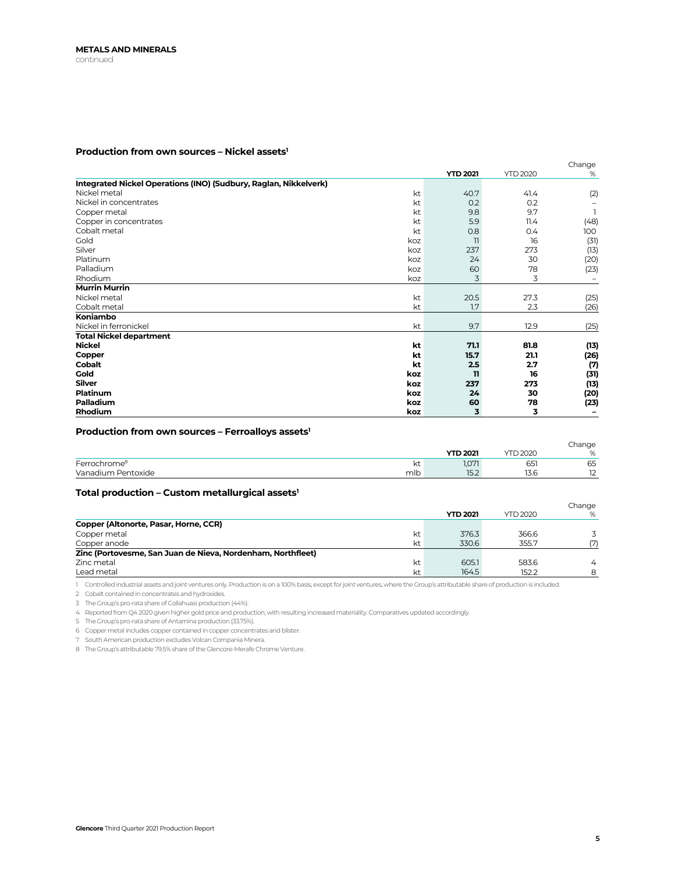## Production from own sources - Nickel assets<sup>1</sup>

|                                                                  |     |                 |                 | Change |
|------------------------------------------------------------------|-----|-----------------|-----------------|--------|
|                                                                  |     | <b>YTD 2021</b> | <b>YTD 2020</b> | %      |
| Integrated Nickel Operations (INO) (Sudbury, Raglan, Nikkelverk) |     |                 |                 |        |
| Nickel metal                                                     | kt  | 40.7            | 41.4            | (2)    |
| Nickel in concentrates                                           | kt  | 0.2             | 0.2             |        |
| Copper metal                                                     | kt  | 9.8             | 9.7             |        |
| Copper in concentrates                                           | kt  | 5.9             | 11.4            | (48)   |
| Cobalt metal                                                     | kt  | 0.8             | 0.4             | 100    |
| Gold                                                             | koz | 11              | 16              | (31)   |
| Silver                                                           | koz | 237             | 273             | (13)   |
| Platinum                                                         | koz | 24              | 30              | (20)   |
| Palladium                                                        | koz | 60              | 78              | (23)   |
| Rhodium                                                          | koz | 3               | 3               |        |
| <b>Murrin Murrin</b>                                             |     |                 |                 |        |
| Nickel metal                                                     | kt  | 20.5            | 27.3            | (25)   |
| Cobalt metal                                                     | kt  | 1.7             | 2.3             | (26)   |
| Koniambo                                                         |     |                 |                 |        |
| Nickel in ferronickel                                            | kt  | 9.7             | 12.9            | (25)   |
| <b>Total Nickel department</b>                                   |     |                 |                 |        |
| <b>Nickel</b>                                                    | kt  | 71.1            | 81.8            | (13)   |
| Copper                                                           | kt  | 15.7            | 21.1            | (26)   |
| Cobalt                                                           | kt  | 2.5             | 2.7             | (7)    |
| Gold                                                             | koz | $\mathbf{u}$    | 16              | (31)   |
| <b>Silver</b>                                                    | koz | 237             | 273             | (13)   |
| Platinum                                                         | koz | 24              | 30              | (20)   |
| Palladium                                                        | koz | 60              | 78              | (23)   |
| Rhodium                                                          | koz | 3               | 3               |        |

### Production from own sources - Ferroalloys assets<sup>1</sup>

|                          |     |                 |                 | Change                             |
|--------------------------|-----|-----------------|-----------------|------------------------------------|
|                          |     | <b>YTD 2021</b> | <b>YTD 2020</b> | $O_{\alpha}$<br>$\sim$             |
| Ferrochrome <sup>8</sup> | KL. | 1,071           | ---<br>651      | 65                                 |
| Vanadium Pentoxide       | mlb | 15.2            | 13.6            | $\overline{\phantom{a}}$<br>$\sim$ |

### Total production - Custom metallurgical assets<sup>1</sup>

|                                                             |    | <b>YTD 2021</b> | <b>YTD 2020</b> | Change<br>%    |
|-------------------------------------------------------------|----|-----------------|-----------------|----------------|
| Copper (Altonorte, Pasar, Horne, CCR)                       |    |                 |                 |                |
| Copper metal                                                | kt | 376.3           | 366.6           |                |
| Copper anode                                                | kt | 330.6           | 355.7           | (7)            |
| Zinc (Portovesme, San Juan de Nieva, Nordenham, Northfleet) |    |                 |                 |                |
| Zinc metal                                                  | kt | 605.1           | 583.6           | $\overline{4}$ |
| Lead metal                                                  | kt | 164.5           | 152.2           | 8              |

1 Controlled industrial assets and joint ventures only. Production is on a 100% basis, except for joint ventures, where the Group's attributable share of production is included.

2 Cobalt contained in concentrates and hydroxides.

3 The Group's pro-rata share of Collahuasi production (44%).

4 Reported from Q4 2020 given higher gold price and production, with resulting increased materiality. Comparatives updated accordingly.

5 The Group's pro-rata share of Antamina production (33.75%).

6 Copper metal includes copper contained in copper concentrates and blister.

7 South American production excludes Volcan Compania Minera.

8 The Group's attributable 79.5% share of the Glencore-Merafe Chrome Venture.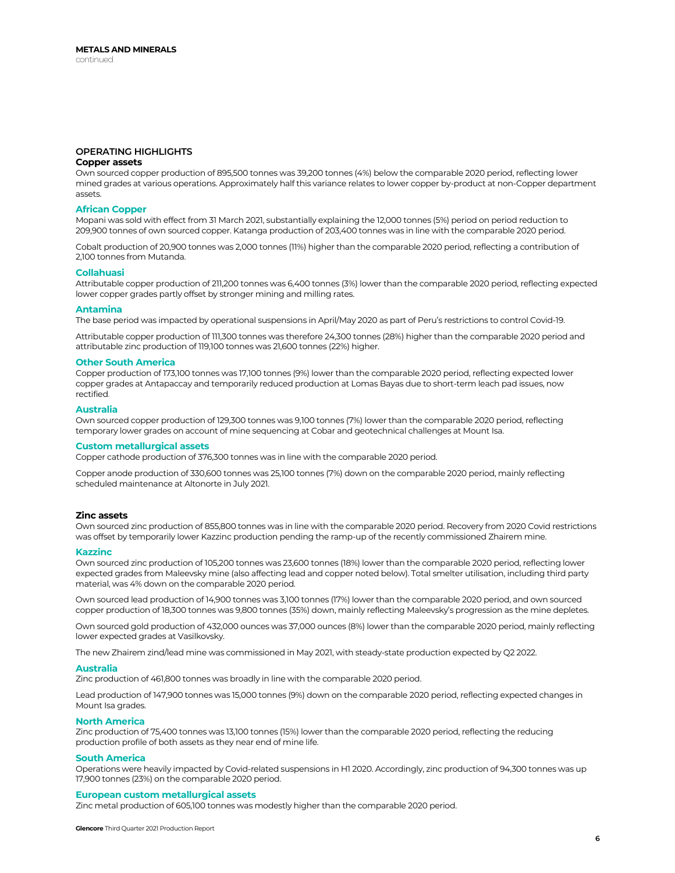# **OPERATING HIGHLIGHTS**

# **Copper assets**

Own sourced copper production of 895,500 tonnes was 39,200 tonnes (4%) below the comparable 2020 period, reflecting lower mined grades at various operations. Approximately half this variance relates to lower copper by-product at non-Copper department assets.

### **African Copper**

Mopani was sold with effect from 31 March 2021, substantially explaining the 12,000 tonnes (5%) period on period reduction to 209,900 tonnes of own sourced copper. Katanga production of 203,400 tonnes was in line with the comparable 2020 period.

Cobalt production of 20,900 tonnes was 2,000 tonnes (11%) higher than the comparable 2020 period, reflecting a contribution of 2,100 tonnes from Mutanda.

### **Collahuasi**

Attributable copper production of 211,200 tonnes was 6,400 tonnes (3%) lower than the comparable 2020 period, reflecting expected lower copper grades partly offset by stronger mining and milling rates.

#### **Antamina**

The base period was impacted by operational suspensions in April/May 2020 as part of Peru's restrictions to control Covid-19.

Attributable copper production of 111,300 tonnes was therefore 24,300 tonnes (28%) higher than the comparable 2020 period and attributable zinc production of 119,100 tonnes was 21,600 tonnes (22%) higher.

#### **Other South America**

Copper production of 173,100 tonnes was 17,100 tonnes (9%) lower than the comparable 2020 period, reflecting expected lower copper grades at Antapaccay and temporarily reduced production at Lomas Bayas due to short-term leach pad issues, now rectified.

#### **Australia**

Own sourced copper production of 129,300 tonnes was 9,100 tonnes (7%) lower than the comparable 2020 period, reflecting temporary lower grades on account of mine sequencing at Cobar and geotechnical challenges at Mount Isa.

#### **Custom metallurgical assets**

Copper cathode production of 376,300 tonnes was in line with the comparable 2020 period.

Copper anode production of 330,600 tonnes was 25,100 tonnes (7%) down on the comparable 2020 period, mainly reflecting scheduled maintenance at Altonorte in July 2021.

### **Zinc assets**

Own sourced zinc production of 855,800 tonnes was in line with the comparable 2020 period. Recovery from 2020 Covid restrictions was offset by temporarily lower Kazzinc production pending the ramp-up of the recently commissioned Zhairem mine.

### **Kazzinc**

Own sourced zinc production of 105,200 tonnes was 23,600 tonnes (18%) lower than the comparable 2020 period, reflecting lower expected grades from Maleevsky mine (also affecting lead and copper noted below). Total smelter utilisation, including third party material, was 4% down on the comparable 2020 period.

Own sourced lead production of 14,900 tonnes was 3,100 tonnes (17%) lower than the comparable 2020 period, and own sourced copper production of 18,300 tonnes was 9,800 tonnes (35%) down, mainly reflecting Maleevsky's progression as the mine depletes.

Own sourced gold production of 432,000 ounces was 37,000 ounces (8%) lower than the comparable 2020 period, mainly reflecting lower expected grades at Vasilkovsky.

The new Zhairem zind/lead mine was commissioned in May 2021, with steady-state production expected by Q2 2022.

#### **Australia**

Zinc production of 461,800 tonnes was broadly in line with the comparable 2020 period.

Lead production of 147,900 tonnes was 15,000 tonnes (9%) down on the comparable 2020 period, reflecting expected changes in Mount Isa grades.

### **North America**

Zinc production of 75,400 tonnes was 13,100 tonnes (15%) lower than the comparable 2020 period, reflecting the reducing production profile of both assets as they near end of mine life.

### **South America**

Operations were heavily impacted by Covid-related suspensions in H1 2020. Accordingly, zinc production of 94,300 tonnes was up 17,900 tonnes (23%) on the comparable 2020 period.

### **European custom metallurgical assets**

Zinc metal production of 605,100 tonnes was modestly higher than the comparable 2020 period.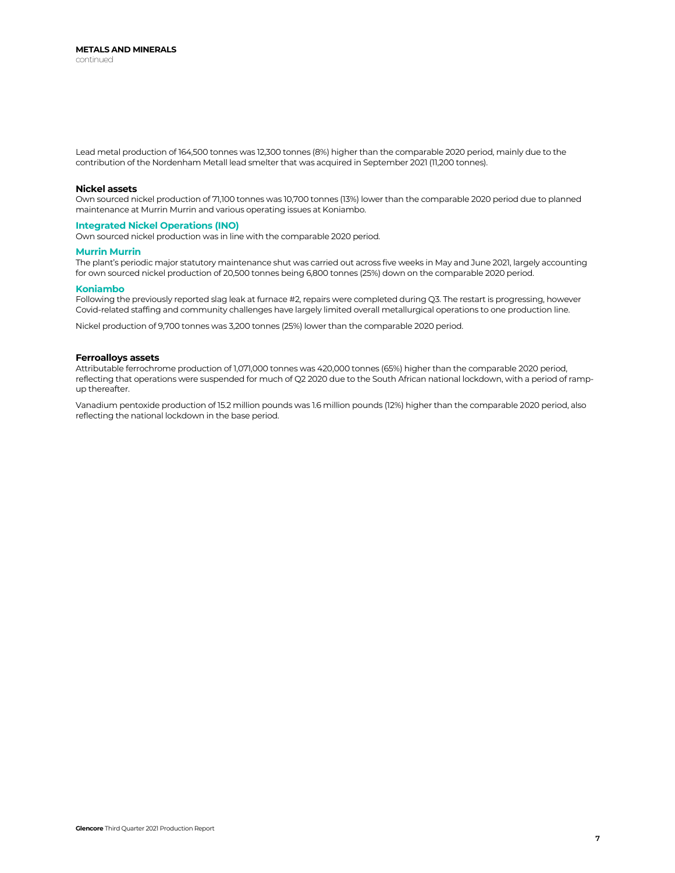Lead metal production of 164,500 tonnes was 12,300 tonnes (8%) higher than the comparable 2020 period, mainly due to the contribution of the Nordenham Metall lead smelter that was acquired in September 2021 (11,200 tonnes).

### **Nickel assets**

Own sourced nickel production of 71,100 tonnes was 10,700 tonnes (13%) lower than the comparable 2020 period due to planned maintenance at Murrin Murrin and various operating issues at Koniambo.

### **Integrated Nickel Operations (INO)**

Own sourced nickel production was in line with the comparable 2020 period.

### **Murrin Murrin**

The plant's periodic major statutory maintenance shut was carried out across five weeks in May and June 2021, largely accounting for own sourced nickel production of 20,500 tonnes being 6,800 tonnes (25%) down on the comparable 2020 period.

### **Koniambo**

Following the previously reported slag leak at furnace #2, repairs were completed during Q3. The restart is progressing, however Covid-related staffing and community challenges have largely limited overall metallurgical operations to one production line.

Nickel production of 9,700 tonnes was 3,200 tonnes (25%) lower than the comparable 2020 period.

### **Ferroalloys assets**

Attributable ferrochrome production of 1,071,000 tonnes was 420,000 tonnes (65%) higher than the comparable 2020 period, reflecting that operations were suspended for much of Q2 2020 due to the South African national lockdown, with a period of rampup thereafter.

Vanadium pentoxide production of 15.2 million pounds was 1.6 million pounds (12%) higher than the comparable 2020 period, also reflecting the national lockdown in the base period.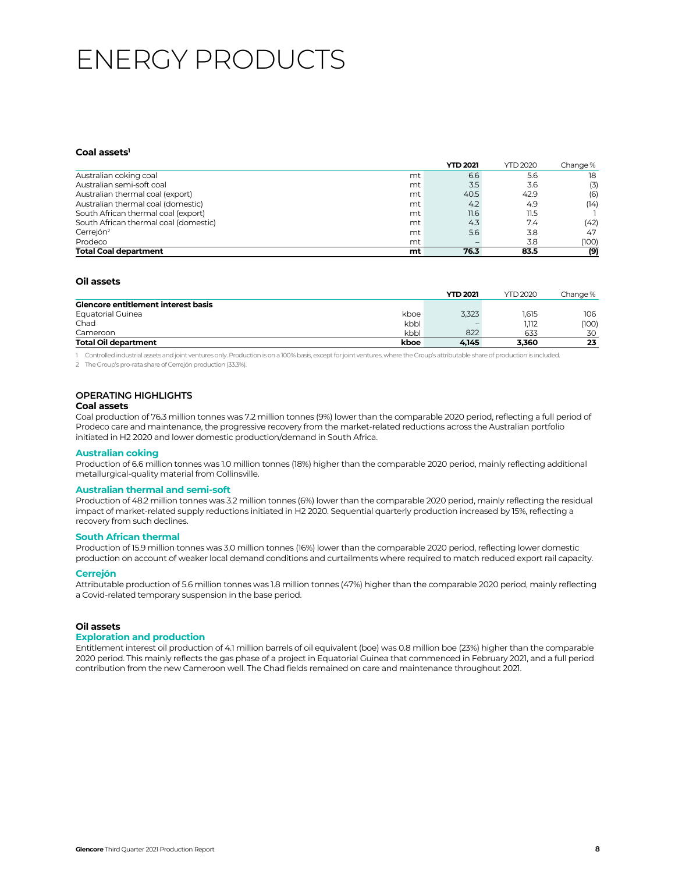# ENERGY PRODUCTS

### Coal assets<sup>1</sup>

|                                       |    | <b>YTD 2021</b> | <b>YTD 2020</b> | Change % |
|---------------------------------------|----|-----------------|-----------------|----------|
| Australian coking coal                | mt | 6.6             | 5.6             | 18       |
| Australian semi-soft coal             | mt | 3.5             | 3.6             | (3)      |
| Australian thermal coal (export)      | mt | 40.5            | 42.9            | (6)      |
| Australian thermal coal (domestic)    | mt | 4.2             | 4.9             | (14)     |
| South African thermal coal (export)   | mt | 11.6            | 11.5            |          |
| South African thermal coal (domestic) | mt | 4.3             | 7.4             | (42)     |
| Cerrejón <sup>2</sup>                 | mt | 5.6             | 3.8             | 47       |
| Prodeco                               | mt |                 | 3.8             | (100)    |
| <b>Total Coal department</b>          | mt | 76.3            | 83.5            | (9)      |

### **Oil assets**

|                                            |      | <b>YTD 2021</b> | <b>YTD 2020</b> | Change % |
|--------------------------------------------|------|-----------------|-----------------|----------|
| <b>Glencore entitlement interest basis</b> |      |                 |                 |          |
| Equatorial Guinea                          | kboe | 3,323           | 1.615           | 106      |
| Chad                                       | kbbl |                 | 1.112           | (100)    |
| Cameroon                                   | kbbl | 822             | 633             | 30       |
| <b>Total Oil department</b>                | kboe | 4.145           | 3,360           | 23       |

1 Controlled industrial assets and joint ventures only. Production is on a 100% basis, except for joint ventures, where the Group's attributable share of production is included.

2 The Group's pro-rata share of Cerrejón production (33.3%).

# **OPERATING HIGHLIGHTS**

# **Coal assets**

Coal production of 76.3 million tonnes was 7.2 million tonnes (9%) lower than the comparable 2020 period, reflecting a full period of Prodeco care and maintenance, the progressive recovery from the market-related reductions across the Australian portfolio initiated in H2 2020 and lower domestic production/demand in South Africa.

### **Australian coking**

Production of 6.6 million tonnes was 1.0 million tonnes (18%) higher than the comparable 2020 period, mainly reflecting additional metallurgical-quality material from Collinsville.

### **Australian thermal and semi-soft**

Production of 48.2 million tonnes was 3.2 million tonnes (6%) lower than the comparable 2020 period, mainly reflecting the residual impact of market-related supply reductions initiated in H2 2020. Sequential quarterly production increased by 15%, reflecting a recovery from such declines.

### **South African thermal**

Production of 15.9 million tonnes was 3.0 million tonnes (16%) lower than the comparable 2020 period, reflecting lower domestic production on account of weaker local demand conditions and curtailments where required to match reduced export rail capacity.

### **Cerrejón**

Attributable production of 5.6 million tonnes was 1.8 million tonnes (47%) higher than the comparable 2020 period, mainly reflecting a Covid-related temporary suspension in the base period.

### **Oil assets**

### **Exploration and production**

Entitlement interest oil production of 4.1 million barrels of oil equivalent (boe) was 0.8 million boe (23%) higher than the comparable 2020 period. This mainly reflects the gas phase of a project in Equatorial Guinea that commenced in February 2021, and a full period contribution from the new Cameroon well. The Chad fields remained on care and maintenance throughout 2021.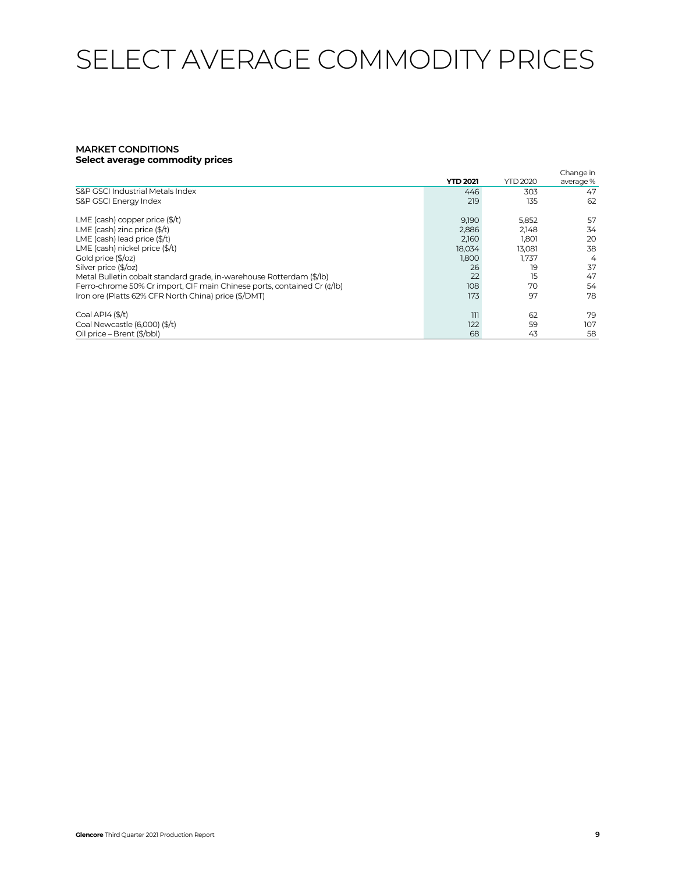# SELECT AVERAGE COMMODITY PRICES

### **MARKET CONDITIONS Select average commodity prices**

|                                                                         | <b>YTD 2021</b> | <b>YTD 2020</b> | Change in<br>average% |
|-------------------------------------------------------------------------|-----------------|-----------------|-----------------------|
| S&P GSCI Industrial Metals Index                                        | 446             | 303             | 47                    |
| S&P GSCI Energy Index                                                   | 219             | 135             | 62                    |
| LME (cash) copper price $(\frac{2}{3})$ t)                              | 9,190           | 5,852           | 57                    |
| LME (cash) zinc price $($/t)$                                           | 2,886           | 2.148           | 34                    |
| LME (cash) lead price $(\frac{4}{3})$                                   | 2.160           | 1.801           | 20                    |
| LME (cash) nickel price (\$/t)                                          | 18,034          | 13,081          | 38                    |
| Gold price (\$/oz)                                                      | 1,800           | 1,737           | 4                     |
| Silver price (\$/oz)                                                    | 26              | 19              | 37                    |
| Metal Bulletin cobalt standard grade, in-warehouse Rotterdam (\$/lb)    | 22              | 15              | 47                    |
| Ferro-chrome 50% Cr import, CIF main Chinese ports, contained Cr (¢/lb) | 108             | 70              | 54                    |
| Iron ore (Platts 62% CFR North China) price (\$/DMT)                    | 173             | 97              | 78                    |
| Coal API4 $(S/t)$                                                       | 111             | 62              | 79                    |
| Coal Newcastle (6,000) (\$/t)                                           | 122             | 59              | 107                   |
| Oil price - Brent (\$/bbl)                                              | 68              | 43              | 58                    |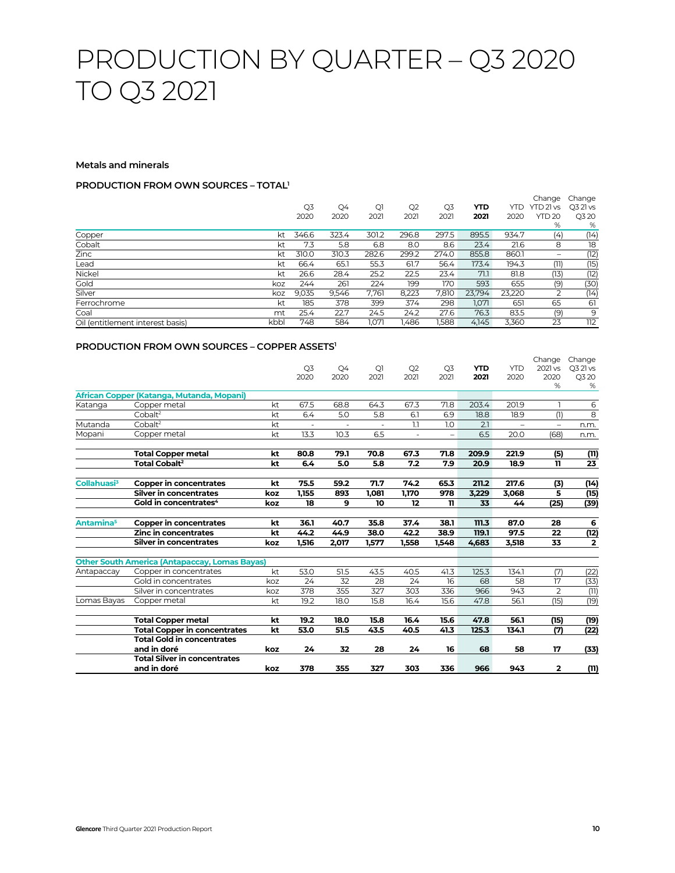# PRODUCTION BY QUARTER – Q3 2020 TO Q3 2021

### **Metals and minerals**

# **PRODUCTION FROM OWN SOURCES – TOTAL1**

|                                  |      | Q3<br>2020 | Q4<br>2020 | Q1<br>2021 | Q <sub>2</sub><br>2021 | Q3<br>2021 | YTD<br>2021 | YTD<br>2020 | Change<br>YTD 21 vs<br><b>YTD 20</b><br>% | Change<br>Q3 21 vs<br>Q3 20<br>% |
|----------------------------------|------|------------|------------|------------|------------------------|------------|-------------|-------------|-------------------------------------------|----------------------------------|
| Copper                           | kt   | 346.6      | 323.4      | 301.2      | 296.8                  | 297.5      | 895.5       | 934.7       | (4)                                       | (14)                             |
| Cobalt                           | kt   | 7.3        | 5.8        | 6.8        | 8.0                    | 8.6        | 23.4        | 21.6        | 8                                         | 18                               |
| Zinc                             | kt   | 310.0      | 310.3      | 282.6      | 299.2                  | 274.0      | 855.8       | 860.1       | $\overline{\phantom{a}}$                  | (12)                             |
| Lead                             | kt   | 66.4       | 65.1       | 55.3       | 61.7                   | 56.4       | 173.4       | 194.3       | (11)                                      | (15)                             |
| Nickel                           | kt   | 26.6       | 28.4       | 25.2       | 22.5                   | 23.4       | 71.1        | 81.8        | (13)                                      | (12)                             |
| Gold                             | koz  | 244        | 261        | 224        | 199                    | 170        | 593         | 655         | (9)                                       | (30)                             |
| Silver                           | koz  | 9,035      | 9.546      | 7,761      | 8,223                  | 7,810      | 23,794      | 23,220      |                                           | (14)                             |
| Ferrochrome                      | kt   | 185        | 378        | 399        | 374                    | 298        | 1.071       | 651         | 65                                        | 61                               |
| Coal                             | mt   | 25.4       | 22.7       | 24.5       | 24.2                   | 27.6       | 76.3        | 83.5        | (9)                                       | 9                                |
| Oil (entitlement interest basis) | kbbl | 748        | 584        | 1,071      | I,486                  | ,588       | 4,145       | 3,360       | 23                                        | 112                              |

# **PRODUCTION FROM OWN SOURCES – COPPER ASSETS1**

|                         |                                                      |     | Q <sub>3</sub><br>2020 | Q <sub>4</sub><br>2020 | Q <sub>1</sub><br>2021 | Q2<br>2021               | Q <sub>3</sub><br>2021 | <b>YTD</b><br>2021 | <b>YTD</b><br>2020       | Change<br>2021 vs<br>2020<br>% | Change<br>Q3 21 vs<br>Q3 20<br>% |
|-------------------------|------------------------------------------------------|-----|------------------------|------------------------|------------------------|--------------------------|------------------------|--------------------|--------------------------|--------------------------------|----------------------------------|
|                         | African Copper (Katanga, Mutanda, Mopani)            |     |                        |                        |                        |                          |                        |                    |                          |                                |                                  |
| Katanga                 | Copper metal                                         | kt  | 67.5                   | 68.8                   | 64.3                   | 67.3                     | 71.8                   | 203.4              | 201.9                    |                                | 6                                |
|                         | Cobalt <sup>2</sup>                                  | kt  | 6.4                    | 5.0                    | 5.8                    | 6.1                      | 6.9                    | 18.8               | 18.9                     | (1)                            | 8                                |
| Mutanda                 | Cobalt <sup>2</sup>                                  | kt  |                        | ٠                      |                        | 1.1                      | 1.0                    | 2.1                | $\overline{\phantom{0}}$ | $\overline{\phantom{0}}$       | n.m.                             |
| Mopani                  | Copper metal                                         | kt  | 13.3                   | 10.3                   | 6.5                    | $\overline{\phantom{a}}$ | $\qquad \qquad -$      | 6.5                | 20.0                     | (68)                           | n.m.                             |
|                         | <b>Total Copper metal</b>                            | kt  | 80.8                   | 79.1                   | 70.8                   | 67.3                     | 71.8                   | 209.9              | 221.9                    | (5)                            | (11)                             |
|                         | <b>Total Cobalt<sup>2</sup></b>                      | kt  | 6.4                    | 5.0                    | 5.8                    | 7.2                      | 7.9                    | 20.9               | 18.9                     | 11                             | 23                               |
| Collahuasi <sup>3</sup> | <b>Copper in concentrates</b>                        | kt  | 75.5                   | 59.2                   | 71.7                   | 74.2                     | 65.3                   | 211.2              | 217.6                    | (3)                            | (14)                             |
|                         | <b>Silver in concentrates</b>                        | koz | 1.155                  | 893                    | 1.081                  | 1,170                    | 978                    | 3.229              | 3,068                    | 5                              | (15)                             |
|                         | Gold in concentrates <sup>4</sup>                    | koz | 18                     | 9                      | 10                     | 12                       | $\mathbf{u}$           | 33                 | 44                       | (25)                           | (39)                             |
| Antamina <sup>5</sup>   | Copper in concentrates                               | kt  | 36.1                   | 40.7                   | 35.8                   | 37.4                     | 38.1                   | 111.3              | 87.0                     | 28                             | 6                                |
|                         | <b>Zinc in concentrates</b>                          | kt  | 44.2                   | 44.9                   | 38.0                   | 42.2                     | 38.9                   | 119.1              | 97.5                     | 22                             | (12)                             |
|                         | <b>Silver in concentrates</b>                        | koz | 1,516                  | 2,017                  | 1,577                  | 1.558                    | 1.548                  | 4,683              | 3,518                    | 33                             | $\overline{2}$                   |
|                         | <b>Other South America (Antapaccay, Lomas Bayas)</b> |     |                        |                        |                        |                          |                        |                    |                          |                                |                                  |
| Antapaccay              | Copper in concentrates                               | kt  | 53.0                   | 51.5                   | 43.5                   | 40.5                     | 41.3                   | 125.3              | 134.1                    | (7)                            | (22)                             |
|                         | Gold in concentrates                                 | koz | 24                     | 32                     | 28                     | 24                       | 16                     | 68                 | 58                       | 17                             | (33)                             |
|                         | Silver in concentrates                               | koz | 378                    | 355                    | 327                    | 303                      | 336                    | 966                | 943                      | $\overline{2}$                 | (11)                             |
| Lomas Bayas             | Copper metal                                         | kt  | 19.2                   | 18.0                   | 15.8                   | 16.4                     | 15.6                   | 47.8               | 56.1                     | (15)                           | (19)                             |
|                         | <b>Total Copper metal</b>                            | kt  | 19.2                   | 18.0                   | 15.8                   | 16.4                     | 15.6                   | 47.8               | 56.1                     | (15)                           | (19)                             |
|                         | <b>Total Copper in concentrates</b>                  | kt  | 53.0                   | 51.5                   | 43.5                   | 40.5                     | 41.3                   | 125.3              | 134.1                    | (7)                            | (22)                             |
|                         | <b>Total Gold in concentrates</b>                    |     |                        |                        |                        |                          |                        |                    |                          |                                |                                  |
|                         | and in doré                                          | koz | 24                     | 32                     | 28                     | 24                       | 16                     | 68                 | 58                       | 17                             | (33)                             |
|                         | <b>Total Silver in concentrates</b>                  |     |                        |                        |                        |                          |                        |                    |                          |                                |                                  |
|                         | and in doré                                          | koz | 378                    | 355                    | 327                    | 303                      | 336                    | 966                | 943                      | $\overline{2}$                 | (11)                             |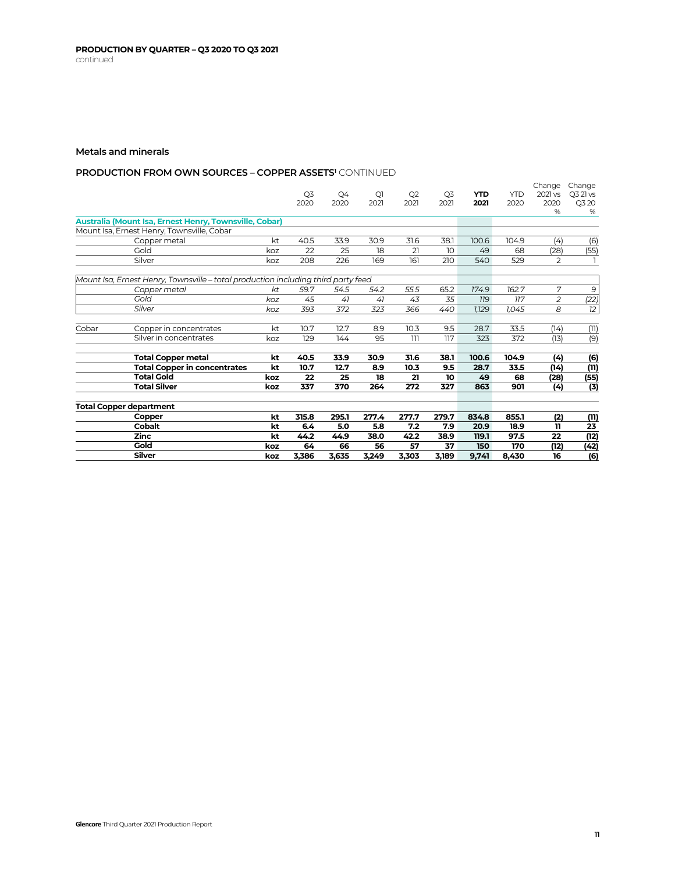# **PRODUCTION FROM OWN SOURCES – COPPER ASSETS' CONTINUED**

|       |                                                                                   |     |       |       |                |       |                |            |            | Change         | Change   |
|-------|-----------------------------------------------------------------------------------|-----|-------|-------|----------------|-------|----------------|------------|------------|----------------|----------|
|       |                                                                                   |     | Q3    | Q4    | Q <sub>1</sub> | Q2    | Q <sub>3</sub> | <b>YTD</b> | <b>YTD</b> | 2021 vs        | Q3 21 vs |
|       |                                                                                   |     | 2020  | 2020  | 2021           | 2021  | 2021           | 2021       | 2020       | 2020           | Q3 20    |
|       |                                                                                   |     |       |       |                |       |                |            |            | %              | %        |
|       | Australia (Mount Isa, Ernest Henry, Townsville, Cobar)                            |     |       |       |                |       |                |            |            |                |          |
|       | Mount Isa, Ernest Henry, Townsville, Cobar                                        |     |       |       |                |       |                |            |            |                |          |
|       | Copper metal                                                                      | kt  | 40.5  | 33.9  | 30.9           | 31.6  | 38.1           | 100.6      | 104.9      | (4)            | (6)      |
|       | Gold                                                                              | koz | 22    | 25    | 18             | 21    | 10             | 49         | 68         | (28)           | (55)     |
|       | Silver                                                                            | koz | 208   | 226   | 169            | 161   | 210            | 540        | 529        | $\overline{2}$ |          |
|       | Mount Isa, Ernest Henry, Townsville - total production including third party feed |     |       |       |                |       |                |            |            |                |          |
|       | Copper metal                                                                      | kt  | 59.7  | 54.5  | 54.2           | 55.5  | 65.2           | 174.9      | 162.7      | 7              | 9        |
|       | Gold                                                                              | koz | 45    | 41    | 41             | 43    | 35             | <b>119</b> | 117        | $\overline{2}$ |          |
|       | Silver                                                                            |     |       |       |                |       |                |            |            | 8              | (22)     |
|       |                                                                                   | koz | 393   | 372   | 323            | 366   | 440            | 1,129      | 1,045      |                | 12       |
| Cobar | Copper in concentrates                                                            | kt  | 10.7  | 12.7  | 8.9            | 10.3  | 9.5            | 28.7       | 33.5       | (14)           | (11)     |
|       | Silver in concentrates                                                            | koz | 129   | 144   | 95             | 111   | 117            | 323        | 372        | (13)           | (9)      |
|       | <b>Total Copper metal</b>                                                         | kt  | 40.5  | 33.9  | 30.9           | 31.6  | 38.1           | 100.6      | 104.9      | (4)            | (6)      |
|       | <b>Total Copper in concentrates</b>                                               | kt  | 10.7  | 12.7  | 8.9            | 10.3  | 9.5            | 28.7       | 33.5       | (14)           | (11)     |
|       | <b>Total Gold</b>                                                                 | koz | 22    | 25    | 18             | 21    | 10             | 49         | 68         | (28)           | (55)     |
|       | <b>Total Silver</b>                                                               | koz | 337   | 370   | 264            | 272   | 327            | 863        | 901        | (4)            | (3)      |
|       | <b>Total Copper department</b>                                                    |     |       |       |                |       |                |            |            |                |          |
|       | Copper                                                                            | kt  | 315.8 | 295.1 | 277.4          | 277.7 | 279.7          | 834.8      | 855.1      | (2)            | (11)     |
|       | <b>Cobalt</b>                                                                     | kt  | 6.4   | 5.0   | 5.8            | 7.2   | 7.9            | 20.9       | 18.9       | 11             | 23       |
|       | Zinc                                                                              | kt  | 44.2  | 44.9  | 38.0           | 42.2  | 38.9           | 119.1      | 97.5       | 22             | (12)     |
|       | Gold                                                                              | koz | 64    | 66    | 56             | 57    | 37             | 150        | 170        | (12)           | (42)     |
|       | <b>Silver</b>                                                                     | koz | 3,386 | 3.635 | 3,249          | 3,303 | 3,189          | 9.741      | 8,430      | 16             | (6)      |
|       |                                                                                   |     |       |       |                |       |                |            |            |                |          |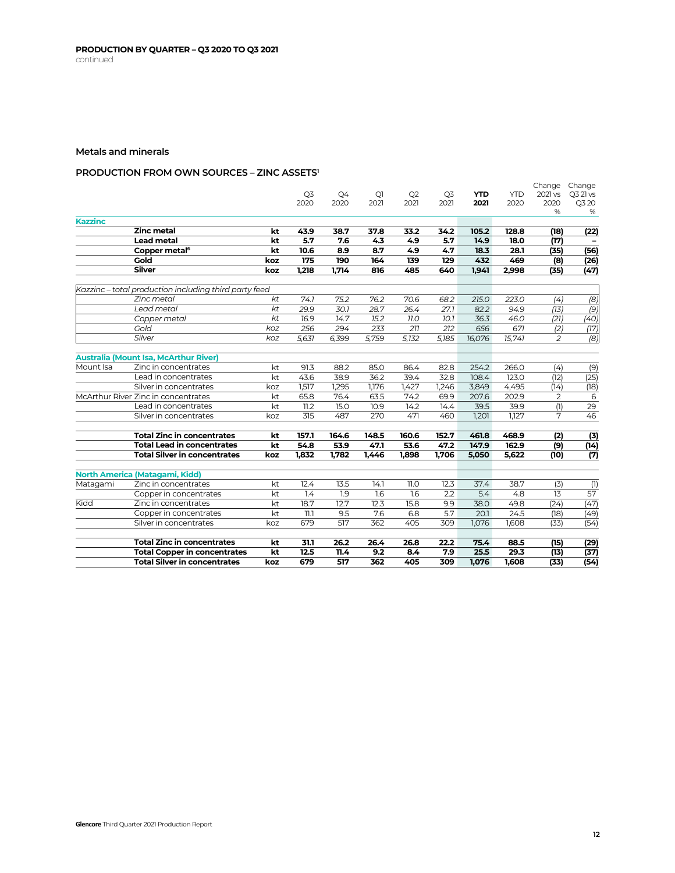# **PRODUCTION FROM OWN SOURCES – ZINC ASSETS1**

|                | <b>Total Silver in concentrates</b>                    | koz        | 679         | 517        | 362            | 405        | 309        | 1,076        | 1,608       | (33)           | (54)           |
|----------------|--------------------------------------------------------|------------|-------------|------------|----------------|------------|------------|--------------|-------------|----------------|----------------|
|                | <b>Total Copper in concentrates</b>                    | kt         | 12.5        | 11.4       | 9.2            | 8.4        | 7.9        | 25.5         | 29.3        | (13)           | (37)           |
|                | <b>Total Zinc in concentrates</b>                      | kt         | 31.1        | 26.2       | 26.4           | 26.8       | 22.2       | 75.4         | 88.5        | (15)           | (29)           |
|                |                                                        |            |             |            |                |            |            |              |             |                |                |
|                | Silver in concentrates                                 | koz        | 679         | 517        | 362            | 405        | 309        | 1.076        | 1,608       | (33)           | (54)           |
|                | Copper in concentrates                                 | kt         | 71.7        | 9.5        | 7.6            | 6.8        | 5.7        | 20.1         | 24.5        | (18)           | (49)           |
| Kidd           | Zinc in concentrates                                   | kt         | 18.7        | 12.7       | 12.3           | 15.8       | 9.9        | 38.0         | 49.8        | (24)           | (47)           |
|                | Copper in concentrates                                 | kt         | 1.4         | 1.9        | 1.6            | 1.6        | 2.2        | 5.4          | 4.8         | 13             | 57             |
| Matagami       | North America (Matagami, Kidd)<br>Zinc in concentrates | kt         | 12.4        | 13.5       | 14.1           | 11.0       | 12.3       | 37.4         | 38.7        | (3)            | (1)            |
|                |                                                        |            |             |            |                |            |            |              |             |                |                |
|                | <b>Total Silver in concentrates</b>                    | koz        | 1,832       | 1.782      | 1,446          | 1.898      | 1,706      | 5,050        | 5,622       | (10)           | (7)            |
|                | <b>Total Lead in concentrates</b>                      | kt         | 54.8        | 53.9       | 47.1           | 53.6       | 47.2       | 147.9        | 162.9       | (9)            | (14)           |
|                | <b>Total Zinc in concentrates</b>                      | kt         | 157.1       | 164.6      | 148.5          | 160.6      | 152.7      | 461.8        | 468.9       | (2)            | (3)            |
|                | Silver in concentrates                                 | koz        | 315         | 487        | 270            | 471        | 460        | 1,201        | 1.127       | 7              | 46             |
|                | Lead in concentrates                                   | kt         | 11.2        | 15.0       | 10.9           | 14.2       | 14.4       | 39.5         | 39.9        | (1)            | 29             |
|                | McArthur River Zinc in concentrates                    | kt         | 65.8        | 76.4       | 63.5           | 74.2       | 69.9       | 207.6        | 202.9       | 2              | 6              |
|                | Silver in concentrates                                 | koz        | 1,517       | 1.295      | 1,176          | 1,427      | 1,246      | 3.849        | 4,495       | (14)           | (18)           |
|                | Lead in concentrates                                   | kt         | 43.6        | 38.9       | 36.2           | 39.4       | 32.8       | 108.4        | 123.0       | (12)           | (25)           |
| Mount Isa      | Zinc in concentrates                                   | kt         | 91.3        | 88.2       | 85.0           | 86.4       | 82.8       | 254.2        | 266.0       | (4)            | (9)            |
|                | <b>Australia (Mount Isa, McArthur River)</b>           |            |             |            |                |            |            |              |             |                |                |
|                | Silver                                                 | koz        | 5,631       | 6,399      | 5,759          | 5,132      | 5,185      | 16,076       | 15,741      | $\overline{c}$ | $\overline{8}$ |
|                | Gold                                                   | koz        | 256         | 294        | 233            | 211        | 212        | 656          | 671         | (2)            | (17)           |
|                | Copper metal                                           | kt         | 16.9        | 14.7       | 15.2           | 77.0       | 10.1       | 36.3         | 46.0        | (21)           | (40)           |
|                | Lead metal                                             | kt         | 29.9        | 30.1       | 28.7           | 26.4       | 27.1       | 82.2         | 94.9        | (13)           | (9)            |
|                | Zinc metal                                             | kt         | 74.1        | 75.2       | 76.2           | 70.6       | 68.2       | 215.0        | 223.0       | (4)            | (8)            |
|                | Kazzinc - total production including third party feed  |            |             |            |                |            |            |              |             |                |                |
|                |                                                        |            |             |            |                |            |            |              |             |                |                |
|                | <b>Silver</b>                                          | koz<br>koz | 1.218       | 1.714      | 816            | 485        | 640        | 1,941        | 2,998       | (8)<br>(35)    | (26)<br>(47)   |
|                | Copper metal <sup>6</sup><br>Gold                      |            | 175         | 190        | 164            | 139        | 129        | 432          | 28.1<br>469 | (35)           | (56)           |
|                | <b>Lead metal</b>                                      | kt<br>kt   | 5.7<br>10.6 | 7.6<br>8.9 | 4.3<br>8.7     | 4.9<br>4.9 | 5.7<br>4.7 | 14.9<br>18.3 | 18.0        | (17)           |                |
|                | <b>Zinc metal</b>                                      | kt         | 43.9        | 38.7       | 37.8           | 33.2       | 34.2       | 105.2        | 128.8       | (18)           | (22)           |
| <b>Kazzinc</b> |                                                        |            |             |            |                |            |            |              |             |                |                |
|                |                                                        |            |             |            |                |            |            |              |             | %              | %              |
|                |                                                        |            | 2020        | 2020       | 2021           | 2021       | 2021       | 2021         | 2020        | 2020           | Q3 20          |
|                |                                                        |            | Q3          | Q4         | Q <sub>1</sub> | Q2         | Q3         | <b>YTD</b>   | <b>YTD</b>  | 2021 vs        | Q3 21 vs       |
|                |                                                        |            |             |            |                |            |            |              |             | Change Change  |                |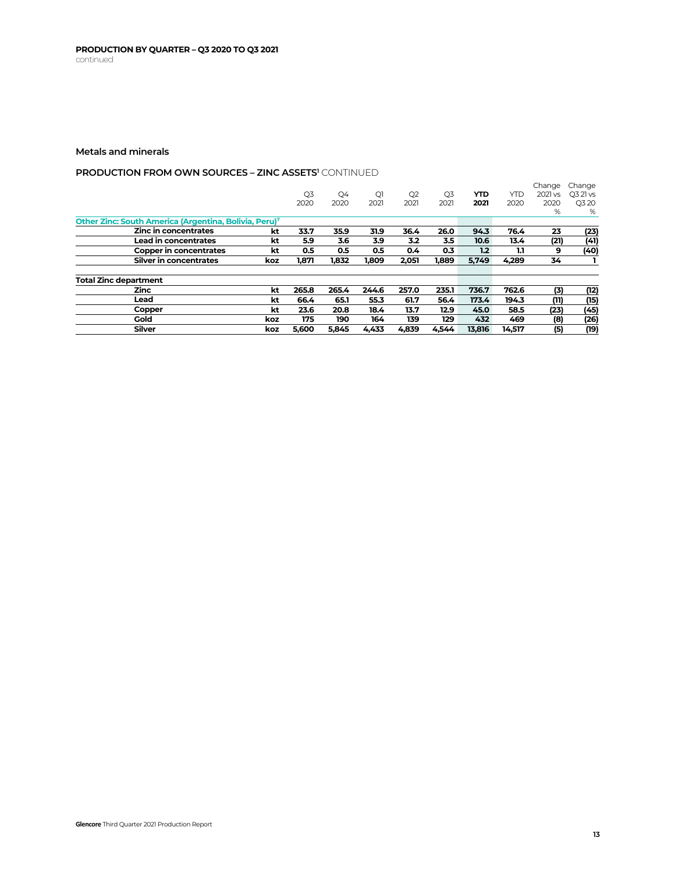# **PRODUCTION FROM OWN SOURCES - ZINC ASSETS<sup>1</sup> CONTINUED**

|                                                                   |     |                |       |       |                |                |        |        | Change  | Change   |
|-------------------------------------------------------------------|-----|----------------|-------|-------|----------------|----------------|--------|--------|---------|----------|
|                                                                   |     | Q <sub>3</sub> | Q4    | Q1    | Q <sub>2</sub> | Q <sub>3</sub> | YTD    | YTD    | 2021 vs | O3 21 vs |
|                                                                   |     | 2020           | 2020  | 2021  | 2021           | 2021           | 2021   | 2020   | 2020    | Q3 20    |
|                                                                   |     |                |       |       |                |                |        |        | %       | %        |
| Other Zinc: South America (Argentina, Bolivia, Peru) <sup>7</sup> |     |                |       |       |                |                |        |        |         |          |
| Zinc in concentrates                                              | kt  | 33.7           | 35.9  | 31.9  | 36.4           | 26.0           | 94.3   | 76.4   | 23      | (23)     |
| <b>Lead in concentrates</b>                                       | kt  | 5.9            | 3.6   | 3.9   | 3.2            | 3.5            | 10.6   | 13.4   | (21)    | (41)     |
| Copper in concentrates                                            | kt  | 0.5            | 0.5   | 0.5   | $0.4^{\circ}$  | 0.3            | 1.2    | 1.1    | 9       | (40)     |
| Silver in concentrates                                            | koz | 1,871          | 1.832 | 1,809 | 2.051          | 1,889          | 5.749  | 4,289  | 34      |          |
| Total Zinc department                                             |     |                |       |       |                |                |        |        |         |          |
| <b>Zinc</b>                                                       | kt  | 265.8          | 265.4 | 244.6 | 257.0          | 235.1          | 736.7  | 762.6  | (3)     | (12)     |
| Lead                                                              | kt  | 66.4           | 65.1  | 55.3  | 61.7           | 56.4           | 173.4  | 194.3  | (11)    | (15)     |
| Copper                                                            | kt  | 23.6           | 20.8  | 18.4  | 13.7           | 12.9           | 45.0   | 58.5   | (23)    | (45)     |
| Gold                                                              | koz | 175            | 190   | 164   | 139            | 129            | 432    | 469    | (8)     | (26)     |
| <b>Silver</b>                                                     | koz | 5,600          | 5,845 | 4,433 | 4.839          | 4.544          | 13,816 | 14,517 | (5)     | (19)     |
|                                                                   |     |                |       |       |                |                |        |        |         |          |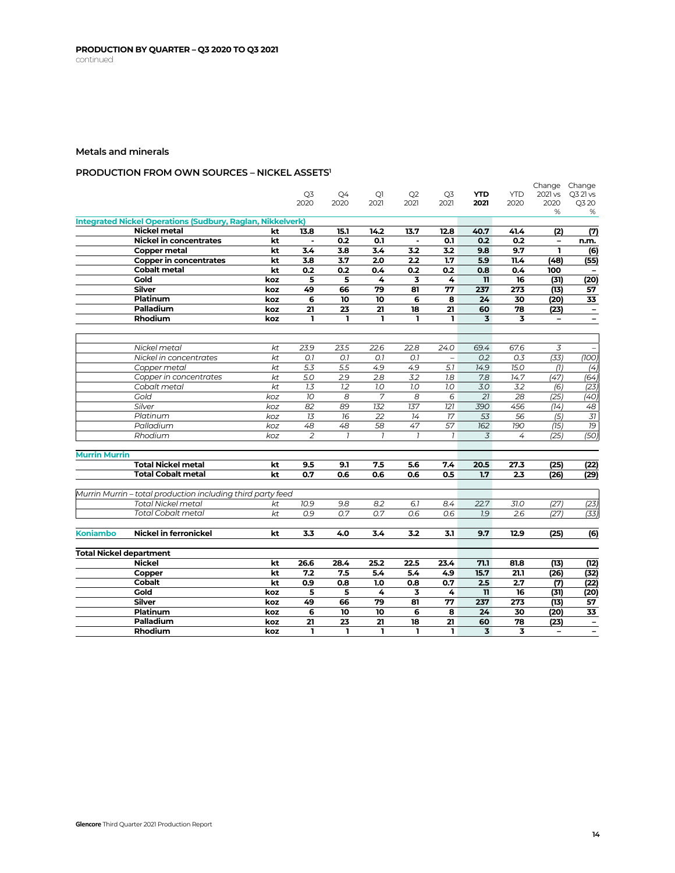# **PRODUCTION FROM OWN SOURCES – NICKEL ASSETS1**

|                                |                                                                                          |          | Q <sub>3</sub>  |                |                  |                |                | <b>YTD</b>              | <b>YTD</b> | Change Change<br>2021 vs | Q3 21 vs                 |
|--------------------------------|------------------------------------------------------------------------------------------|----------|-----------------|----------------|------------------|----------------|----------------|-------------------------|------------|--------------------------|--------------------------|
|                                |                                                                                          |          | 2020            | Q4<br>2020     | Q1<br>2021       | Q2<br>2021     | Q3<br>2021     | 2021                    | 2020       | 2020                     | Q3 20                    |
|                                |                                                                                          |          |                 |                |                  |                |                |                         |            | %                        | %                        |
|                                | <b>Integrated Nickel Operations (Sudbury, Raglan, Nikkelverk)</b>                        |          |                 |                |                  |                |                |                         |            |                          |                          |
|                                | Nickel metal                                                                             | kt       | 13.8            | 15.1           | 14.2             | 13.7           | 12.8           | 40.7                    | 41.4       | (2)                      | (7)                      |
|                                | <b>Nickel in concentrates</b>                                                            | kt       | $\blacksquare$  | 0.2            | 0.1              | $\blacksquare$ | 0.1            | 0.2                     | 0.2        | $\overline{\phantom{a}}$ | n.m.                     |
|                                | <b>Copper metal</b>                                                                      | kt       | 3.4             | 3.8            | 3.4              | 3.2            | 3.2            | 9.8                     | 9.7        | ı                        | (6)                      |
|                                | <b>Copper in concentrates</b>                                                            | kt       | 3.8             | 3.7            | 2.0              | 2.2            | 1.7            | 5.9                     | 11.4       | (48)                     | (55)                     |
|                                | <b>Cobalt metal</b>                                                                      | kt       | 0.2             | 0.2            | 0.4              | 0.2            | 0.2            | 0.8                     | 0.4        | 100                      |                          |
|                                | Gold                                                                                     | koz      | 5               | 5              | 4                | 3              | 4              | $\mathbf{u}$            | 16         | (31)                     | (20)                     |
|                                | <b>Silver</b>                                                                            | koz      | 49              | 66             | 79               | 81             | 77             | 237                     | 273        | (13)                     | 57                       |
|                                | <b>Platinum</b>                                                                          | koz      | 6               | 10             | 10               | 6              | 8              | 24                      | 30         | (20)                     | 33                       |
|                                | Palladium                                                                                | koz      | 21              | 23             | 21               | 18             | 21             | 60                      | 78         | (23)                     | $\overline{\phantom{a}}$ |
|                                | <b>Rhodium</b>                                                                           | koz      | ı               | L.             | $\mathbf{I}$     | ı              | ı              | $\overline{\mathbf{3}}$ | 3          | $\qquad \qquad -$        |                          |
|                                |                                                                                          |          |                 |                |                  |                |                |                         |            |                          |                          |
|                                | Nickel metal                                                                             | kt       | 23.9            | 23.5           | 22.6             | 22.8           | 24.0           | 69.4                    | 67.6       | 3                        |                          |
|                                | Nickel in concentrates                                                                   | kt       | O.7             | O.7            | O.7              | O.7            | $\equiv$       | 0.2                     | 0.3        | (33)                     | (100)                    |
|                                | Copper metal                                                                             | kt       | 5.3             | 5.5            | 4.9              | 4.9            | 5.7            | 14.9                    | 15.0       | (7)                      | (4)                      |
|                                | Copper in concentrates                                                                   | kt       | 5.0             | 2.9            | 2.8              | 3.2            | 7.8            | 7.8                     | 14.7       | (47)                     | (64)                     |
|                                | Cobalt metal                                                                             | kt       | 1.3             | 1.2            | 1.0              | 7.0            | 1.0            | 3.0                     | 3.2        | (6)                      | (23)                     |
|                                | Gold                                                                                     | koz      | 10 <sup>°</sup> | 8              | 7                | 8              | 6              | 21                      | 28         | (25)                     | (40)                     |
|                                | Silver                                                                                   | koz      | 82              | 89             | 132              | 137            | 121            | 390                     | 456        | (14)                     | 48                       |
|                                | Platinum                                                                                 | koz      | 13              | 16             | 22               | 14             | 17             | 53                      | 56         | (5)                      | $\overline{37}$          |
|                                | Palladium                                                                                | koz      | 48              | 48             | 58               | 47             | 57             | 162                     | 190        | (15)                     | 19                       |
|                                | Rhodium                                                                                  | koz      | $\overline{2}$  | $\overline{1}$ | $\overline{1}$   | $\overline{1}$ | $\overline{1}$ | 3                       | 4          | (25)                     | (50)                     |
|                                |                                                                                          |          |                 |                |                  |                |                |                         |            |                          |                          |
| <b>Murrin Murrin</b>           |                                                                                          |          |                 |                |                  |                |                |                         |            |                          |                          |
|                                | <b>Total Nickel metal</b>                                                                | kt       | 9.5             | 9.1            | 7.5              | 5.6            | 7.4            | 20.5                    | 27.3       | (25)                     | (22)                     |
|                                | <b>Total Cobalt metal</b>                                                                | kt       | 0.7             | 0.6            | 0.6              | 0.6            | 0.5            | 1.7                     | 2.3        | (26)                     | (29)                     |
|                                |                                                                                          |          |                 |                |                  |                |                |                         |            |                          |                          |
|                                | Murrin Murrin - total production including third party feed<br><b>Total Nickel metal</b> |          | 10.9            | 9.8            | 8.2              | 6.1            | 8.4            | 22.7                    | 31.0       |                          |                          |
|                                | <b>Total Cobalt metal</b>                                                                | kt<br>kt | 0.9             | 0.7            | $\overline{0.7}$ | 0.6            | 0.6            | 1.9                     | 2.6        | (27)<br>(27)             | (23)<br>(33)             |
|                                |                                                                                          |          |                 |                |                  |                |                |                         |            |                          |                          |
| <b>Koniambo</b>                | <b>Nickel in ferronickel</b>                                                             | kt       | 3.3             | 4.0            | 3.4              | 3.2            | 3.1            | 9.7                     | 12.9       | (25)                     | (6)                      |
|                                |                                                                                          |          |                 |                |                  |                |                |                         |            |                          |                          |
| <b>Total Nickel department</b> |                                                                                          |          |                 |                |                  |                |                |                         |            |                          |                          |
|                                | <b>Nickel</b>                                                                            | kt       | 26.6            | 28.4           | 25.2             | 22.5           | 23.4           | 71.1                    | 81.8       | (13)                     | (12)                     |
|                                | Copper                                                                                   | kt       | 7.2             | 7.5            | 5.4              | 5.4            | 4.9            | 15.7                    | 21.1       | (26)                     | (32)                     |
|                                | Cobalt                                                                                   | kt       | 0.9             | 0.8            | 1.0              | 0.8            | 0.7            | 2.5                     | 2.7        | (7)                      | (22)                     |
|                                | Gold                                                                                     | koz      | 5               | 5              | 4                | 3              | 4              | $\mathbf{u}$            | 16         | (31)                     | (20)                     |
|                                | Silver                                                                                   | koz      | 49              | 66             | 79               | 81             | 77             | 237                     | 273        | (13)                     | 57                       |
|                                | Platinum                                                                                 | koz      | 6               | 10             | 10               | 6              | 8              | 24                      | 30         | (20)                     | 33                       |
|                                | Palladium                                                                                | koz      | 21              | 23             | 21               | 18             | 21             | 60                      | 78         | (23)                     | $\overline{\phantom{a}}$ |
|                                | Rhodium                                                                                  | koz      | ı               | ı              | ı                | ı              | $\mathbf{I}$   | 3                       | 3          |                          | $\overline{\phantom{0}}$ |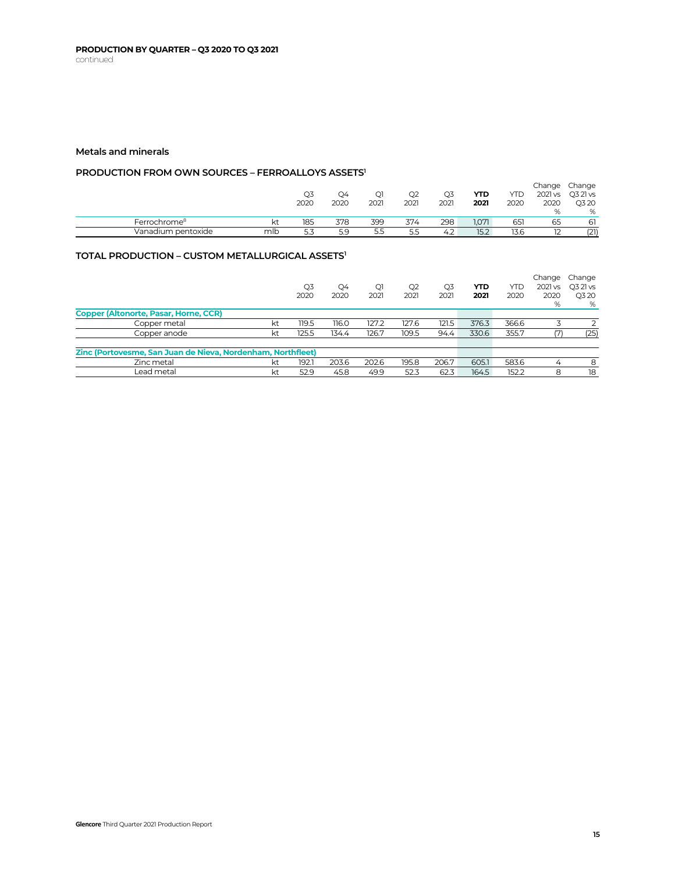## **PRODUCTION FROM OWN SOURCES – FERROALLOYS ASSETS1**

|                          |     |      |      |      |      |      |       |      | Change        | Change           |
|--------------------------|-----|------|------|------|------|------|-------|------|---------------|------------------|
|                          |     | Q3   | Q4   | Q1   | Q2   | Q3   | YTD   | YTD  |               | 2021 vs Q3 21 vs |
|                          |     | 2020 | 2020 | 2021 | 2021 | 2021 | 2021  | 2020 | 2020          | Q3 20            |
|                          |     |      |      |      |      |      |       |      | $O_{\Lambda}$ | %                |
| Ferrochrome <sup>8</sup> |     | 185  | 378  | 399  | 374  | 298  | 1.071 | 651  | 65            | 61               |
| Vanadium pentoxide       | mlb | 5.3  | 5.9  | 5.5  | 5.5  | 4.2  | 15.2  | 13.6 |               | (21)             |

# **TOTAL PRODUCTION – CUSTOM METALLURGICAL ASSETS1**

|                                                             |    | Q <sub>3</sub><br>2020 | Q4<br>2020 | Q1<br>2021 | Q2<br>2021 | Q3<br>2021 | YTD<br>2021 | YTD<br>2020 | Change<br>2021 vs<br>2020<br>% | Change<br>O3 21 vs<br>Q3 20<br>% |
|-------------------------------------------------------------|----|------------------------|------------|------------|------------|------------|-------------|-------------|--------------------------------|----------------------------------|
| Copper (Altonorte, Pasar, Horne, CCR)                       |    |                        |            |            |            |            |             |             |                                |                                  |
| Copper metal                                                | kt | 119.5                  | 116.0      | 127.2      | 127.6      | 121.5      | 376.3       | 366.6       |                                |                                  |
| Copper anode                                                | kt | 125.5                  | 134.4      | 126.7      | 109.5      | 94.4       | 330.6       | 355.7       |                                | (25)                             |
|                                                             |    |                        |            |            |            |            |             |             |                                |                                  |
| Zinc (Portovesme, San Juan de Nieva, Nordenham, Northfleet) |    |                        |            |            |            |            |             |             |                                |                                  |
| Zinc metal                                                  | kt | 192.1                  | 203.6      | 202.6      | 195.8      | 206.7      | 605.1       | 583.6       | $\overline{4}$                 | 8                                |
| Lead metal                                                  | kt | 52.9                   | 45.8       | 49.9       | 52.3       | 62.3       | 164.5       | 152.2       | 8                              | 18                               |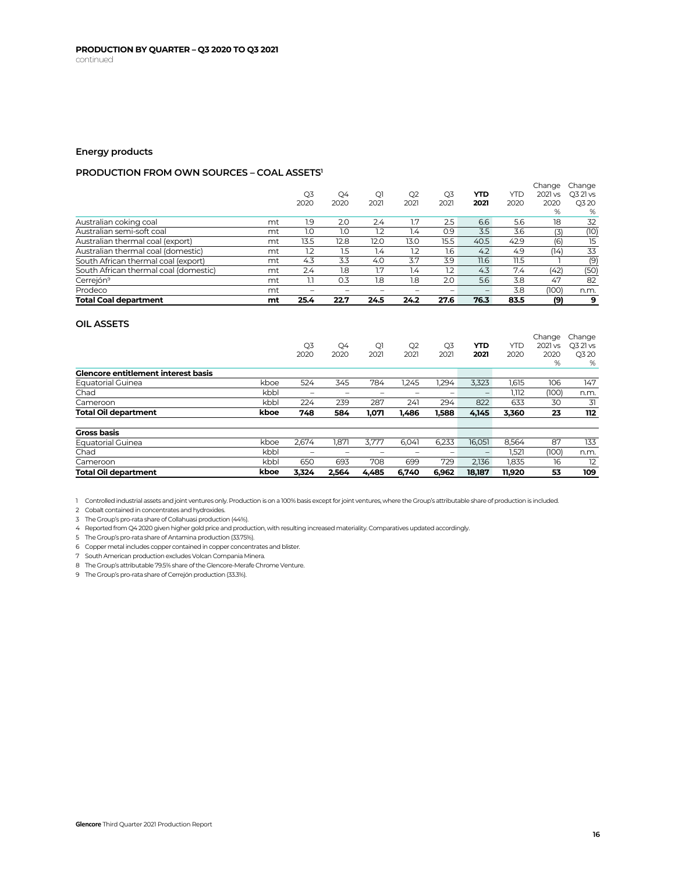# **Energy products**

# **PRODUCTION FROM OWN SOURCES – COAL ASSETS1**

| <b>Total Coal department</b>          | mt | 25.4                     | 22.7       | 24.5                   | 24.2       | 27.6                   | 76.3        | 83.5        | (9)             | 9                 |
|---------------------------------------|----|--------------------------|------------|------------------------|------------|------------------------|-------------|-------------|-----------------|-------------------|
| Prodeco                               | mt | $\overline{\phantom{a}}$ |            |                        |            |                        |             | 3.8         | (100)           | n.m.              |
| Cerrejón <sup>9</sup>                 | mt | 1.1                      | 0.3        | 1.8                    | 1.8        | 2.0                    | 5.6         | 3.8         | 47              | 82                |
| South African thermal coal (domestic) | mt | 2.4                      | 1.8        | 1.7                    | 1.4        | 1.2                    | 4.3         | 7.4         | (42)            | (50)              |
| South African thermal coal (export)   | mt | 4.3                      | 3.3        | 4.0                    | 3.7        | 3.9                    | 11.6        | 11.5        |                 | (9)               |
| Australian thermal coal (domestic)    | mt | 1.2                      | 1.5        | 1.4                    | 1.2        | 1.6                    | 4.2         | 4.9         | (14)            | 33                |
| Australian thermal coal (export)      | mt | 13.5                     | 12.8       | 12.0                   | 13.0       | 15.5                   | 40.5        | 42.9        | (6)             | 15                |
| Australian semi-soft coal             | mt | 1.0                      | 1.0        | 1.2                    | 1.4        | O.9                    | 3.5         | 3.6         | (3)             | (10)              |
| Australian coking coal                | mt | 1.9                      | 2.0        | 2.4                    | 1.7        | 2.5                    | 6.6         | 5.6         | 18              | 32                |
|                                       |    |                          |            |                        |            |                        |             |             | %               | %                 |
|                                       |    | Q3<br>2020               | Q4<br>2020 | Q <sub>1</sub><br>2021 | Q2<br>2021 | Q <sub>3</sub><br>2021 | YTD<br>2021 | YTD<br>2020 | 2021 vs<br>2020 | O3 21 vs<br>Q3 20 |
|                                       |    |                          |            |                        |            |                        |             |             | Change          | Change            |

### **OIL ASSETS**

|                                            |      | Q <sub>3</sub><br>2020 | Q4<br>2020 | Q1<br>2021 | Q2<br>2021 | Q <sub>3</sub><br>2021 | YTD<br>2021              | YTD<br>2020 | Change<br>2021 vs<br>2020 | Change<br>O3 21 vs<br>Q3 20 |
|--------------------------------------------|------|------------------------|------------|------------|------------|------------------------|--------------------------|-------------|---------------------------|-----------------------------|
|                                            |      |                        |            |            |            |                        |                          |             | %                         | %                           |
| <b>Glencore entitlement interest basis</b> |      |                        |            |            |            |                        |                          |             |                           |                             |
| <b>Equatorial Guinea</b>                   | kboe | 524                    | 345        | 784        | 1.245      | 1.294                  | 3.323                    | 1,615       | 106                       | 147                         |
| Chad                                       | kbbl | -                      | -          | -          | -          | -                      |                          | 1,112       | (100)                     | n.m.                        |
| Cameroon                                   | kbbl | 224                    | 239        | 287        | 241        | 294                    | 822                      | 633         | 30                        | 31                          |
| <b>Total Oil department</b>                | kboe | 748                    | 584        | 1,071      | 1.486      | 1,588                  | 4,145                    | 3,360       | 23                        | 112                         |
| <b>Gross basis</b>                         |      |                        |            |            |            |                        |                          |             |                           |                             |
| <b>Equatorial Guinea</b>                   | kboe | 2.674                  | 1.871      | 3.777      | 6.041      | 6,233                  | 16.051                   | 8,564       | 87                        | 133                         |
| Chad                                       | kbbl | -                      | -          |            |            | -                      | $\overline{\phantom{m}}$ | 1,521       | (100)                     | n.m.                        |
| Cameroon                                   | kbbl | 650                    | 693        | 708        | 699        | 729                    | 2.136                    | 1.835       | 16                        | 12                          |
| <b>Total Oil department</b>                | kboe | 3.324                  | 2.564      | 4.485      | 6.740      | 6.962                  | 18.187                   | 11,920      | 53                        | 109                         |

1 Controlled industrial assets and joint ventures only. Production is on a 100% basis except for joint ventures, where the Group's attributable share of production is included.

2 Cobalt contained in concentrates and hydroxides.

3 The Group's pro-rata share of Collahuasi production (44%).

4 Reported from Q4 2020 given higher gold price and production, with resulting increased materiality. Comparatives updated accordingly.

5 The Group's pro-rata share of Antamina production (33.75%).

6 Copper metal includes copper contained in copper concentrates and blister.

7 South American production excludes Volcan Compania Minera.

8 The Group's attributable 79.5% share of the Glencore-Merafe Chrome Venture.

9 The Group's pro-rata share of Cerrejón production (33.3%).